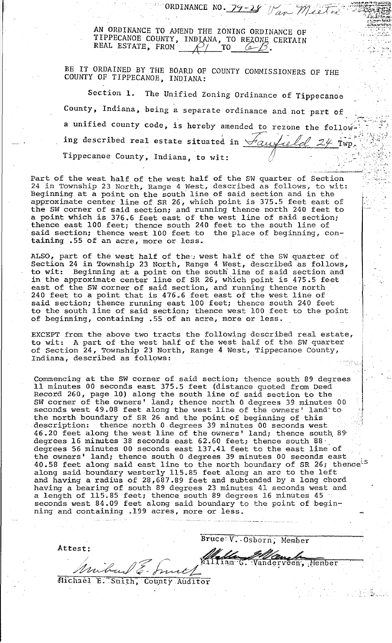AN ORDINANCE TO AMEND THE ZONING ORDINANCE OF TIPPECANOE COUNTY, INDIANA, TO REZONE CERTAIN<br>REAL ESTATE, FROM  $\bigcirc$  TO 6 3.

ORDINANCE NO. 79-28 Van Meeton

BE IT ORDAINED BY THE BOARD OF COUNTY COMMISSIONERS OF THE COUNTY OF TIPPECANOE, INDIANA:

Section 1. The Unified Zoning Ordinance of Tippecanoe County, Indiana, being a separate ordinance and not part of a unified county code, is hereby amended to rezone the follow ing described real estate situated in Saufield 24 Twp. Tippecanoe County, Indiana, to wit:

Part of the west half of the west half of the SW quarter of Section 24 in Township 23 North, Range 4 West, described as follows, to wit: Beginning at a point on the south line of said section and in the approximate center line of SR 26, which point is 375.5 feet east of<br>the SW corner of said section; and running thence north 240 feet to<br>a point which is 376.6 feet east of the west line of said section; thence east 100 feet; thence south 240 feet to the south line of said section; thence west 100 feet to the place of beginning, containing .55 of an acre, more or less.

ALSO, part of the west half of theo west half of the SW quarter of Section 24 in Township 23 North, Range 4 West, described as follows, Beginning at a point on the south line of said section and to wit: in the approximate center line of SR 26, which point is 475.5 feet east of the SW corner of said section, and running thence north<br>240 feet to a point that is 476.6 feet east of the west line of<br>said section; thence running east 100 feet; thence south 240 feet to the south line of said section; thence west 100 feet to the point of beginning, containing .55 of an acre, more or less.

EXCEPT from the above two tracts the following described real estate, to wit: A part of the west half of the west half of the SW quarter of Section 24, Township 23 North, Range 4 West, Tippecanoe County, Indiana, described as follows:

Commencing at the SW corner of said section; thence south 89 degrees 11 minutes 00 seconds east 375.5 feet (distance quoted from Deed Record 260, page 10) along the south line of said section to the<br>SW corner of the owners' land; thence north 0 degrees 39 minutes 00<br>seconds west 49.08 feet along the west line of the owners' land to the north boundary of SR 26 and the point of beginning of this description: thence north 0 degrees 39 minutes 00 seconds west 46.20 feet along the west line of the owners' land; thence south 89 degrees 16 minutes 38 seconds east 62.60 feet; thence south 88 degrees 56 minutes 00 seconds east 137.41 feet to the east line of the owners' land; thence south 0 degrees 39 minutes 00 seconds east 40.58 feet along said east line to the north boundary of SR 26; thence<sup>1.5</sup><br>along said boundary westerly 115.85 feet along an arc to the left and having a radius of 28,687.89 feet and subtended by a long chord<br>having a bearing of south 89 degrees 23 minutes 41 seconds west and<br>a length of 115.85 feet; thence south 89 degrees 16 minutes 45 seconds west 84.09 feet along said boundary to the point of beginning and containing .199 acres, more or less.

Bruce: V. Osborn, Member Attest: Malle Vanderveen, Member Michael E.

Michael E. Smith, County Auditor